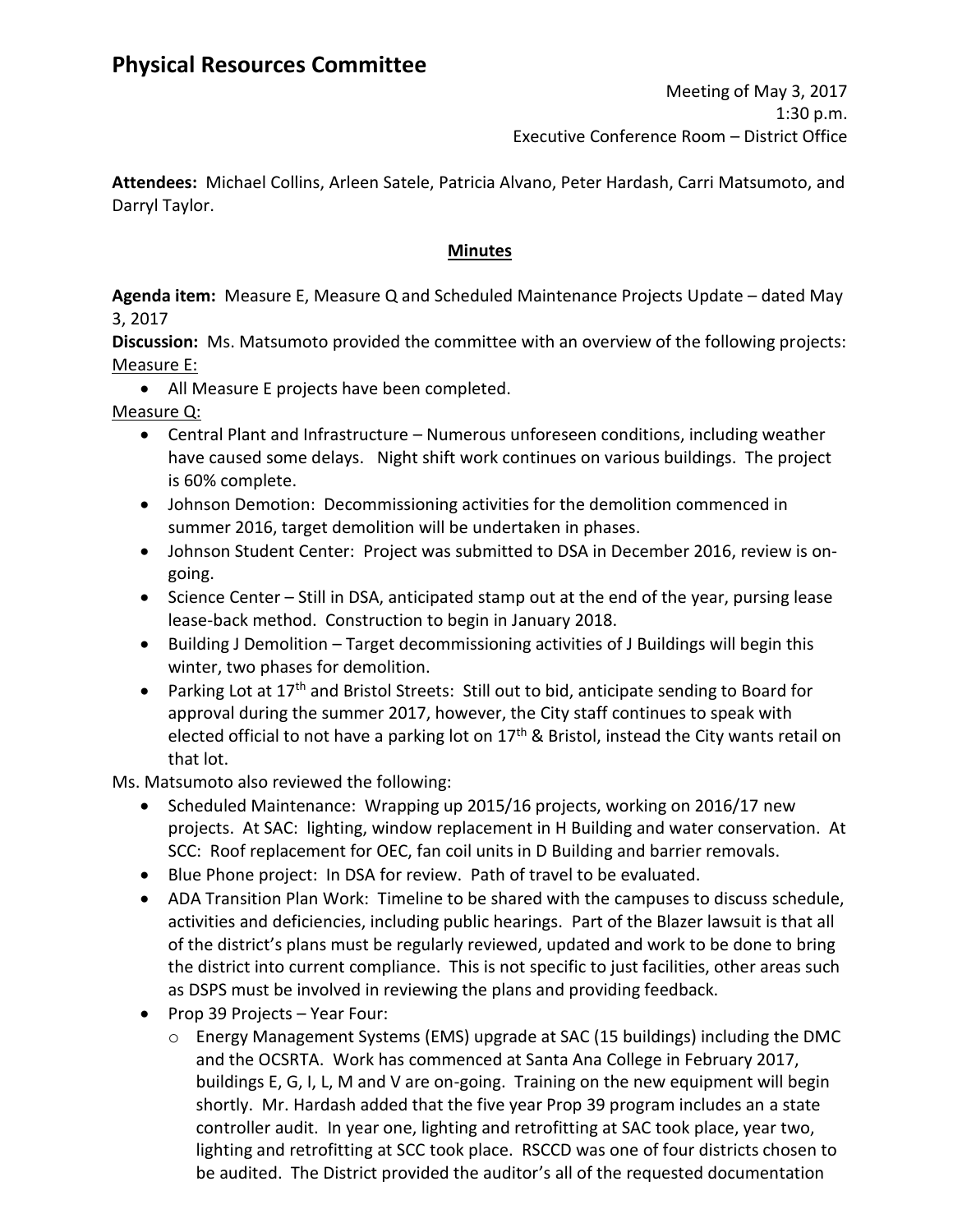**Attendees:** Michael Collins, Arleen Satele, Patricia Alvano, Peter Hardash, Carri Matsumoto, and Darryl Taylor.

# **Minutes**

**Agenda item:** Measure E, Measure Q and Scheduled Maintenance Projects Update – dated May 3, 2017

**Discussion:** Ms. Matsumoto provided the committee with an overview of the following projects: Measure E:

All Measure E projects have been completed.

Measure Q:

- Central Plant and Infrastructure Numerous unforeseen conditions, including weather have caused some delays. Night shift work continues on various buildings. The project is 60% complete.
- Johnson Demotion: Decommissioning activities for the demolition commenced in summer 2016, target demolition will be undertaken in phases.
- Johnson Student Center: Project was submitted to DSA in December 2016, review is ongoing.
- Science Center Still in DSA, anticipated stamp out at the end of the year, pursing lease lease-back method. Construction to begin in January 2018.
- Building J Demolition Target decommissioning activities of J Buildings will begin this winter, two phases for demolition.
- Parking Lot at 17<sup>th</sup> and Bristol Streets: Still out to bid, anticipate sending to Board for approval during the summer 2017, however, the City staff continues to speak with elected official to not have a parking lot on 17<sup>th</sup> & Bristol, instead the City wants retail on that lot.

Ms. Matsumoto also reviewed the following:

- Scheduled Maintenance: Wrapping up 2015/16 projects, working on 2016/17 new projects. At SAC: lighting, window replacement in H Building and water conservation. At SCC: Roof replacement for OEC, fan coil units in D Building and barrier removals.
- Blue Phone project: In DSA for review. Path of travel to be evaluated.
- ADA Transition Plan Work: Timeline to be shared with the campuses to discuss schedule, activities and deficiencies, including public hearings. Part of the Blazer lawsuit is that all of the district's plans must be regularly reviewed, updated and work to be done to bring the district into current compliance. This is not specific to just facilities, other areas such as DSPS must be involved in reviewing the plans and providing feedback.
- Prop 39 Projects Year Four:
	- $\circ$  Energy Management Systems (EMS) upgrade at SAC (15 buildings) including the DMC and the OCSRTA. Work has commenced at Santa Ana College in February 2017, buildings E, G, I, L, M and V are on-going. Training on the new equipment will begin shortly. Mr. Hardash added that the five year Prop 39 program includes an a state controller audit. In year one, lighting and retrofitting at SAC took place, year two, lighting and retrofitting at SCC took place. RSCCD was one of four districts chosen to be audited. The District provided the auditor's all of the requested documentation